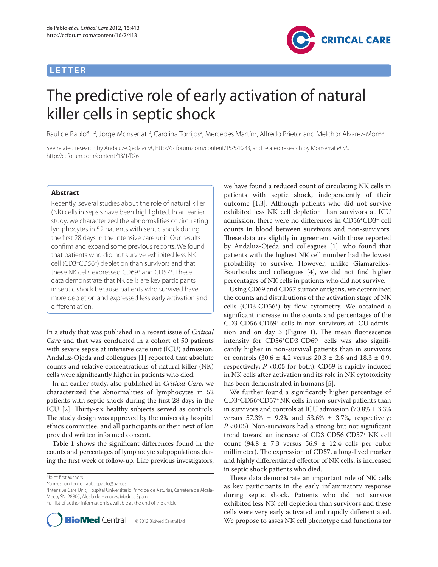# **LETTER**



# The predictive role of early activation of natural killer cells in septic shock

Raúl de Pablo\*<sup>+1,2</sup>, Jorge Monserrat<sup>12</sup>, Carolina Torrijos<sup>2</sup>, Mercedes Martín<sup>2</sup>, Alfredo Prieto<sup>2</sup> and Melchor Alvarez-Mon<sup>2,3</sup>

See related research by Andaluz-Ojeda et al., http://ccforum.com/content/15/5/R243, and related research by Monserrat et al., http://ccforum.com/content/13/1/R26

## **Abstract**

Recently, several studies about the role of natural killer (NK) cells in sepsis have been highlighted. In an earlier study, we characterized the abnormalities of circulating lymphocytes in 52 patients with septic shock during the first 28 days in the intensive care unit. Our results confirm and expand some previous reports. We found that patients who did not survive exhibited less NK cell (CD3−CD56+) depletion than survivors and that these NK cells expressed CD69+ and CD57+. These data demonstrate that NK cells are key participants in septic shock because patients who survived have more depletion and expressed less early activation and differentiation.

In a study that was published in a recent issue of *Critical Care* and that was conducted in a cohort of 50 patients with severe sepsis at intensive care unit (ICU) admission, Andaluz-Ojeda and colleagues [1] reported that absolute counts and relative concentrations of natural killer (NK) cells were significantly higher in patients who died.

In an earlier study, also published in *Critical Care*, we characterized the abnormalities of lymphocytes in 52 patients with septic shock during the first 28 days in the ICU [2]. Thirty-six healthy subjects served as controls. The study design was approved by the university hospital ethics committee, and all participants or their next of kin provided written informed consent.

Table 1 shows the significant differences found in the counts and percentages of lymphocyte subpopulations during the first week of follow-up. Like previous investigators,

\*Correspondence: raul.depablo@uah.es

1 Intensive Care Unit, Hospital Universitario Príncipe de Asturias, Carretera de Alcalá-Meco, SN. 28805, Alcalá de Henares, Madrid, Spain

Full list of author information is available at the end of the article



© 2012 BioMed Central Ltd

we have found a reduced count of circulating NK cells in patients with septic shock, independently of their outcome [1,3]. Although patients who did not survive exhibited less NK cell depletion than survivors at ICU admission, there were no differences in CD56<sup>+</sup>CD3<sup>-</sup> cell counts in blood between survivors and non-survivors. These data are slightly in agreement with those reported by Andaluz-Ojeda and colleagues [1], who found that patients with the highest NK cell number had the lowest probability to survive. However, unlike Giamarellos-Bourboulis and colleagues [4], we did not find higher percentages of NK cells in patients who did not survive.

Using CD69 and CD57 surface antigens, we determined the counts and distributions of the activation stage of NK cells (CD3<sup>-</sup>CD56<sup>+</sup>) by flow cytometry. We obtained a significant increase in the counts and percentages of the CD3−CD56+CD69+ cells in non-survivors at ICU admission and on day  $3$  (Figure 1). The mean fluorescence intensity for CD56+CD3−CD69+ cells was also signifi cantly higher in non-survival patients than in survivors or controls (30.6 ± 4.2 versus 20.3 ± 2.6 and 18.3 ± 0.9, respectively; *P* <0.05 for both). CD69 is rapidly induced in NK cells after activation and its role in NK cytotoxicity has been demonstrated in humans [5].

We further found a significantly higher percentage of CD3−CD56+CD57+ NK cells in non-survival patients than in survivors and controls at ICU admission (70.8% ± 3.3% versus 57.3%  $\pm$  9.2% and 53.6%  $\pm$  3.7%, respectively; *P* <0.05). Non-survivors had a strong but not significant trend toward an increase of CD3−CD56+CD57+ NK cell count (94.8  $\pm$  7.3 versus 56.9  $\pm$  12.4 cells per cubic millimeter). The expression of CD57, a long-lived marker and highly differentiated effector of NK cells, is increased in septic shock patients who died.

These data demonstrate an important role of NK cells as key participants in the early inflammatory response during septic shock. Patients who did not survive exhibited less NK cell depletion than survivors and these cells were very early activated and rapidly differentiated. We propose to asses NK cell phenotype and functions for

<sup>†</sup> Joint fi rst authors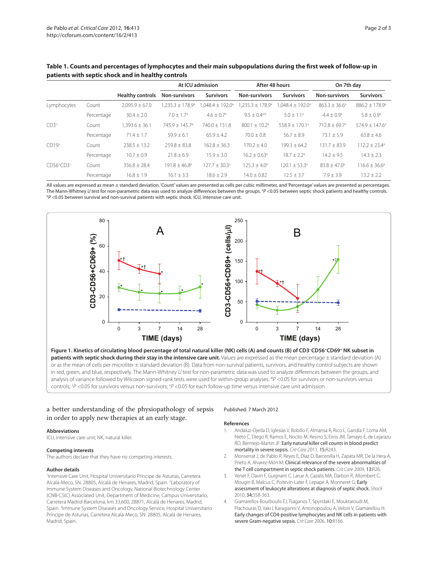|             |            | <b>Healthy controls</b> | At ICU admission            |                             | After 48 hours                  |                              | On 7th day                  |                                |
|-------------|------------|-------------------------|-----------------------------|-----------------------------|---------------------------------|------------------------------|-----------------------------|--------------------------------|
|             |            |                         | Non-survivors               | <b>Survivors</b>            | <b>Non-survivors</b>            | <b>Survivors</b>             | <b>Non-survivors</b>        | <b>Survivors</b>               |
| Lymphocytes | Count      | $2.095.9 \pm 67.0$      | $1.235.3 \pm 178.9^{\circ}$ | $1.048.4 \pm 192.0^{\circ}$ | $.235.3 \pm 178.9$ <sup>a</sup> | $1.048.4 \pm 192.0^{\circ}$  | $863.3 \pm 36.6^{\circ}$    | $886.2 \pm 178.9$ <sup>a</sup> |
|             | Percentage | $30.4 \pm 2.0$          | $7.0 + 1.7a$                | $4.6 + 0.7$ <sup>a</sup>    | $9.5 + 0.4$ <sup>a,b</sup>      | $5.0 + 1.1$ <sup>a</sup>     | $4.4 + 0.9a$                | $5.8 + 0.9$ <sup>a</sup>       |
| $CD3+$      | Count      | $1.393.6 \pm 36.1$      | $745.9 + 145.7a$            | $740.0 + 151.8$             | $800.1 + 10.2a$                 | $558.9 + 170.1$ <sup>a</sup> | $712.8 + 69.7$ <sup>a</sup> | $574.9 + 147.6^{\circ}$        |
|             | Percentage | $71.4 \pm 1.7$          | $59.9 \pm 6.1$              | $65.9 + 4.2$                | $70.0 + 0.8$                    | $56.7 \pm 8.9$               | $73.1 + 5.9$                | $63.8 \pm 4.6$                 |
| $CD19+$     | Count      | $238.5 + 13.2$          | $259.8 + 83.8$              | $162.8 + 36.3$              | $170.2 + 4.0$                   | $199.3 + 64.2$               | $131.7 + 83.9$              | $112.2 + 23.4^a$               |
|             | Percentage | $10.7 + 0.9$            | $21.8 + 6.9$                | $15.9 \pm 3.0$              | $16.2 + 0.63$ <sup>a</sup>      | $18.7 + 2.2a$                | $14.2 + 9.5$                | $14.3 + 2.3$                   |
| $CD56+CD3$  | Count      | $356.8 + 28.4$          | $191.8 + 46.8^{\circ}$      | $127.7 + 30.3a$             | $125.3 + 4.0a$                  | $120.1 + 53.3a$              | $83.8 + 47.0^{\circ}$       | $116.6 + 36.6^{\circ}$         |
|             | Percentage | $16.8 \pm 1.9$          | $16.1 \pm 3.3$              | $18.6 + 2.9$                | $14.0 + 0.82$                   | $12.5 + 3.7$                 | $7.9 + 3.9$                 | $13.2 \pm 2.2$                 |

Table 1. Counts and percentages of lymphocytes and their main subpopulations during the first week of follow-up in **patients with septic shock and in healthy controls**

All values are expressed as mean ± standard deviation. 'Count' values are presented as cells per cubic millimeter, and 'Percentage' values are presented as percentages. The Mann-Whitney U test for non-parametric data was used to analyze differences between the groups. <sup>a</sup>P <0.05 between septic shock patients and healthy controls.<br><sup>bD</sup> <0.05 between survival and non-survival patients with  $P$  <0.05 between survival and non-survival patients with septic shock. ICU, intensive care unit.



**patients with septic shock during their stay in the intensive care unit.** Values are expressed as the mean percentage ± standard deviation (A) or as the mean of cells per microliter ± standard deviation (B). Data from non-survival patients, survivors, and healthy control subjects are shown in red, green, and blue, respectively. The Mann-Whitney U test for non-parametric data was used to analyze differences between the groups, and analysis of variance followed by Wilcoxon signed-rank tests were used for within-group analyses. \*P <0.05 for survivors or non-survivors versus controls; † P <0.05 for survivors versus non-survivors; ‡ P <0.05 for each follow-up time versus intensive care unit admission.

### a better understanding of the physiopathology of sepsis in order to apply new therapies at an early stage.

#### **Abbreviations**

ICU, intensive care unit; NK, natural killer.

#### **Competing interests**

The authors declare that they have no competing interests.

#### **Author details**

1 Intensive Care Unit, Hospital Universitario Príncipe de Asturias, Carretera Alcalá-Meco, SN. 28805, Alcalá de Henares, Madrid, Spain. <sup>2</sup>Laboratory of Immune System Diseases and Oncology, National Biotechnology Center (CNB-CSIC) Associated Unit, Department of Medicine, Campus Universitario, Carretera Madrid-Barcelona, km 33,600, 28871, Alcalá de Henares, Madrid, Spain. 3 Immune System Diseases and Oncology Service, Hospital Universitario Príncipe de Asturias, Carretera Alcalá-Meco, SN. 28805, Alcalá de Henares, Madrid, Spain.

#### Published: 7 March 2012

#### **References**

- 1. Andaluz-Ojeda D, Iglesias V, Bobillo F, Almansa R, Rico L, Gandía F, Loma AM, Nieto C, Diego R, Ramos E, Nocito M, Resino S, Eiros JM, Tamayo E, de Lejarazu RO, Bermejo-Martin JF: Early natural killer cell counts in blood predict mortality in severe sepsis. Crit Care 2011, 15:R243.
- 2. Monserrat J, de Pablo R, Reyes E, Díaz D, Barcenilla H, Zapata MR, De la Hera A, Prieto A, Alvarez-Mon M: Clinical relevance of the severe abnormalities of the T cell compartment in septic shock patients. Crit Care 2009, 13:R26.
- 3. Venet F, Davin F, Guignant C, Larue A, Cazalis MA, Darbon R, Allombert C, Mougin B, Malcus C, Poitevin-Later F, Lepape A, Monneret G: Early assessment of leukocyte alterations at diagnosis of septic shock. Shock 2010, 34:358-363.
- 4. Giamarellos-Bourboulis EJ, Tsaganos T, Spyridaki E, Mouktaroudi M, Plachouras D, Vaki I, Karagianni V, Antonopoulou A, Veloni V, Giamarellou H: Early changes of CD4-positive lymphocytes and NK cells in patients with severe Gram-negative sepsis. Crit Care 2006, 10:R166.